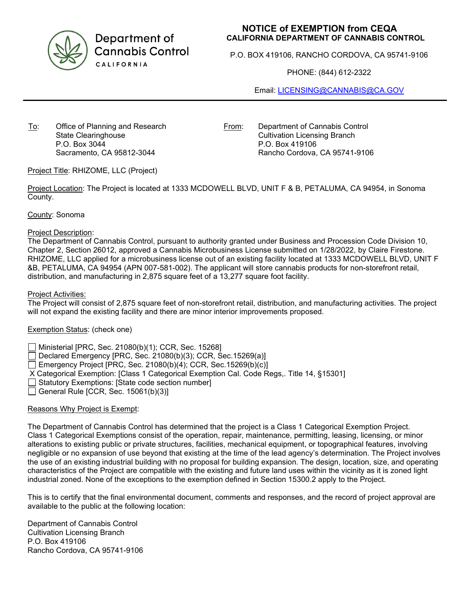

Department of **Cannabis Control** CALIFORNIA

## **NOTICE of EXEMPTION from CEQA CALIFORNIA DEPARTMENT OF CANNABIS CONTROL**

P.O. BOX 419106, RANCHO CORDOVA, CA 95741-9106

PHONE: (844) 612-2322

Email: [LICENSING@CANNABIS@CA.GOV](mailto:LICENSING@CANNABIS@CA.GOV)

To: Office of Planning and Research State Clearinghouse P.O. Box 3044 Sacramento, CA 95812-3044

From: Department of Cannabis Control Cultivation Licensing Branch P.O. Box 419106 Rancho Cordova, CA 95741-9106

Project Title: RHIZOME, LLC (Project)

Project Location: The Project is located at 1333 MCDOWELL BLVD, UNIT F & B, PETALUMA, CA 94954, in Sonoma County.

County: Sonoma

## Project Description:

The Department of Cannabis Control, pursuant to authority granted under Business and Procession Code Division 10, Chapter 2, Section 26012, approved a Cannabis Microbusiness License submitted on 1/28/2022, by Claire Firestone. RHIZOME, LLC applied for a microbusiness license out of an existing facility located at 1333 MCDOWELL BLVD, UNIT F &B, PETALUMA, CA 94954 (APN 007-581-002). The applicant will store cannabis products for non-storefront retail, distribution, and manufacturing in 2,875 square feet of a 13,277 square foot facility.

Project Activities:

The Project will consist of 2,875 square feet of non-storefront retail, distribution, and manufacturing activities. The project will not expand the existing facility and there are minor interior improvements proposed.

## Exemption Status: (check one)

Ministerial [PRC, Sec. 21080(b)(1); CCR, Sec. 15268]

Declared Emergency [PRC, Sec. 21080(b)(3); CCR, Sec.15269(a)]

Emergency Project [PRC, Sec. 21080(b)(4); CCR, Sec.15269(b)(c)]

- X Categorical Exemption: [Class 1 Categorical Exemption Cal. Code Regs,. Title 14, §15301]
- Statutory Exemptions: [State code section number]
- $\Box$  General Rule [CCR, Sec. 15061(b)(3)]

## Reasons Why Project is Exempt:

The Department of Cannabis Control has determined that the project is a Class 1 Categorical Exemption Project. Class 1 Categorical Exemptions consist of the operation, repair, maintenance, permitting, leasing, licensing, or minor alterations to existing public or private structures, facilities, mechanical equipment, or topographical features, involving negligible or no expansion of use beyond that existing at the time of the lead agency's determination. The Project involves the use of an existing industrial building with no proposal for building expansion. The design, location, size, and operating characteristics of the Project are compatible with the existing and future land uses within the vicinity as it is zoned light industrial zoned. None of the exceptions to the exemption defined in Section 15300.2 apply to the Project.

This is to certify that the final environmental document, comments and responses, and the record of project approval are available to the public at the following location:

Department of Cannabis Control Cultivation Licensing Branch P.O. Box 419106 Rancho Cordova, CA 95741-9106